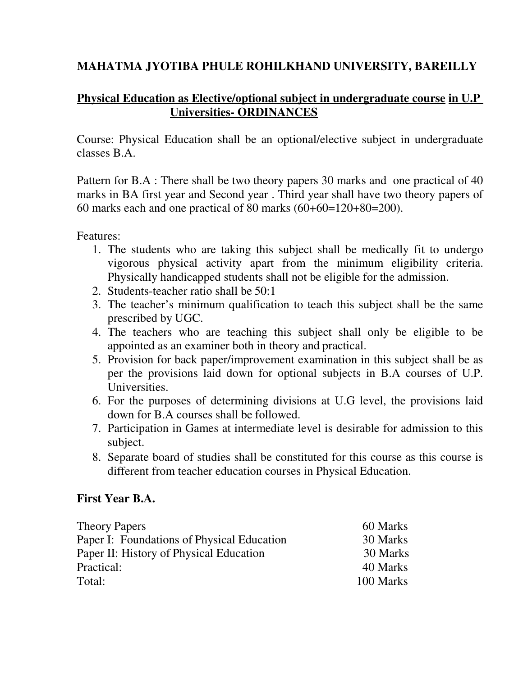# **MAHATMA JYOTIBA PHULE ROHILKHAND UNIVERSITY, BAREILLY**

# **Physical Education as Elective/optional subject in undergraduate course in U.P Universities- ORDINANCES**

Course: Physical Education shall be an optional/elective subject in undergraduate classes B.A.

Pattern for B.A : There shall be two theory papers 30 marks and one practical of 40 marks in BA first year and Second year . Third year shall have two theory papers of 60 marks each and one practical of 80 marks (60+60=120+80=200).

Features:

- 1. The students who are taking this subject shall be medically fit to undergo vigorous physical activity apart from the minimum eligibility criteria. Physically handicapped students shall not be eligible for the admission.
- 2. Students-teacher ratio shall be 50:1
- 3. The teacher's minimum qualification to teach this subject shall be the same prescribed by UGC.
- 4. The teachers who are teaching this subject shall only be eligible to be appointed as an examiner both in theory and practical.
- 5. Provision for back paper/improvement examination in this subject shall be as per the provisions laid down for optional subjects in B.A courses of U.P. Universities.
- 6. For the purposes of determining divisions at U.G level, the provisions laid down for B.A courses shall be followed.
- 7. Participation in Games at intermediate level is desirable for admission to this subject.
- 8. Separate board of studies shall be constituted for this course as this course is different from teacher education courses in Physical Education.

# **First Year B.A.**

| 30 Marks  |
|-----------|
| 30 Marks  |
| 40 Marks  |
| 100 Marks |
|           |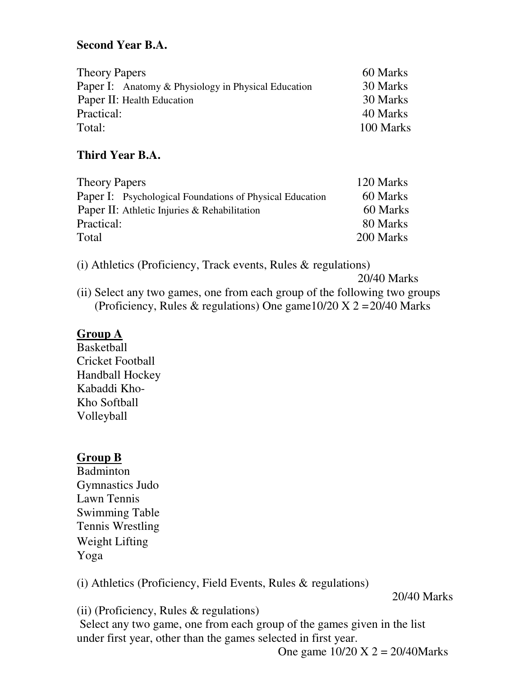# **Second Year B.A.**

| <b>Theory Papers</b>                                       | 60 Marks  |
|------------------------------------------------------------|-----------|
| <b>Paper I:</b> Anatomy & Physiology in Physical Education | 30 Marks  |
| Paper II: Health Education                                 | 30 Marks  |
| Practical:                                                 | 40 Marks  |
| Total:                                                     | 100 Marks |

# **Third Year B.A.**

| <b>Theory Papers</b>                                     | 120 Marks |
|----------------------------------------------------------|-----------|
| Paper I: Psychological Foundations of Physical Education | 60 Marks  |
| Paper II: Athletic Injuries & Rehabilitation             | 60 Marks  |
| Practical:                                               | 80 Marks  |
| Total                                                    | 200 Marks |

(i) Athletics (Proficiency, Track events, Rules & regulations)

20/40 Marks

(ii) Select any two games, one from each group of the following two groups (Proficiency, Rules & regulations) One game  $10/20 \text{ X } 2 = 20/40 \text{ Marks}$ 

# **Group A**

Basketball Cricket Football Handball Hockey Kabaddi Kho-Kho Softball Volleyball

# **Group B**

**Badminton** Gymnastics Judo Lawn Tennis Swimming Table Tennis Wrestling Weight Lifting Yoga

(i) Athletics (Proficiency, Field Events, Rules & regulations)

20/40 Marks

(ii) (Proficiency, Rules & regulations)

Select any two game, one from each group of the games given in the list under first year, other than the games selected in first year.

One game  $10/20$  X  $2 = 20/40$ Marks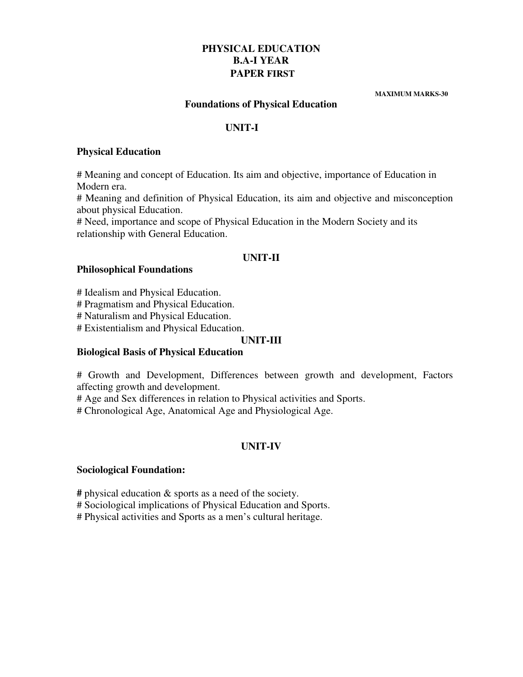## **PHYSICAL EDUCATION B.A-I YEAR PAPER FIRST**

 **MAXIMUM MARKS-30** 

## **Foundations of Physical Education**

### **UNIT-I**

#### **Physical Education**

# Meaning and concept of Education. Its aim and objective, importance of Education in Modern era.

# Meaning and definition of Physical Education, its aim and objective and misconception about physical Education.

# Need, importance and scope of Physical Education in the Modern Society and its relationship with General Education.

### **UNIT-II**

### **Philosophical Foundations**

# Idealism and Physical Education.

# Pragmatism and Physical Education.

# Naturalism and Physical Education.

# Existentialism and Physical Education.

### **UNIT-III**

## **Biological Basis of Physical Education**

# Growth and Development, Differences between growth and development, Factors affecting growth and development.

# Age and Sex differences in relation to Physical activities and Sports.

# Chronological Age, Anatomical Age and Physiological Age.

## **UNIT-IV**

## **Sociological Foundation:**

**#** physical education & sports as a need of the society.

# Sociological implications of Physical Education and Sports.

# Physical activities and Sports as a men's cultural heritage.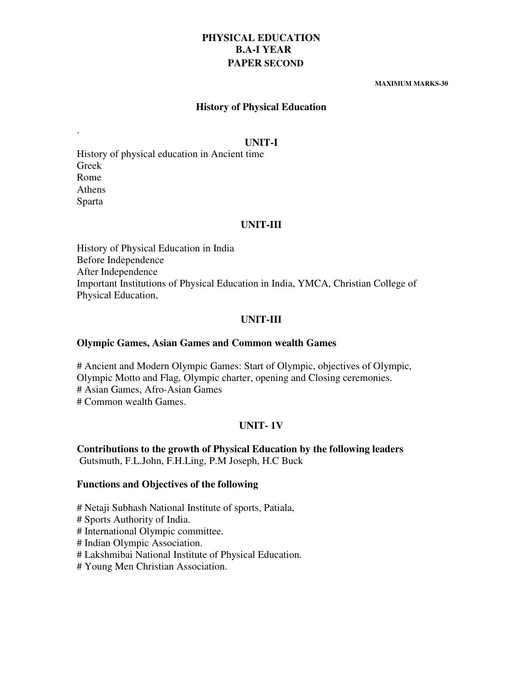## **PHYSICAL EDUCATION B.A-I YEAR PAPER SECOND**

#### **MAXIMUM MARKS-30**

### **History of Physical Education**

#### **UNIT-I**

History of physical education in Ancient time Greek Rome Athens Sparta

.

#### **UNIT-III**

History of Physical Education in India Before Independence After Independence Important Institutions of Physical Education in India, YMCA, Christian College of Physical Education,

#### **UNIT-III**

#### **Olympic Games, Asian Games and Common wealth Games**

# Ancient and Modern Olympic Games: Start of Olympic, objectives of Olympic, Olympic Motto and Flag, Olympic charter, opening and Closing ceremonies. # Asian Games, Afro-Asian Games # Common wealth Games.

#### **UNIT- 1V**

**Contributions to the growth of Physical Education by the following leaders**  Gutsmuth, F.L.John, F.H.Ling, P.M Joseph, H.C Buck

#### **Functions and Objectives of the following**

# Netaji Subhash National Institute of sports, Patiala,

# Sports Authority of India.

# International Olympic committee.

# Indian Olympic Association.

# Lakshmibai National Institute of Physical Education.

# Young Men Christian Association.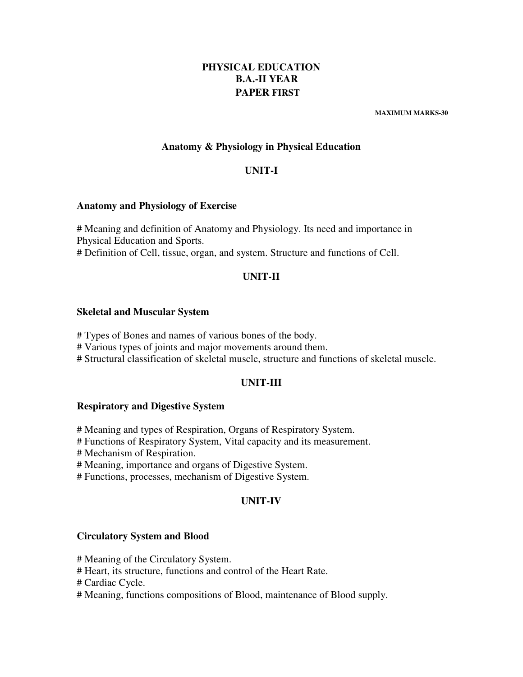## **PHYSICAL EDUCATION B.A.-II YEAR PAPER FIRST**

 **MAXIMUM MARKS-30** 

### **Anatomy & Physiology in Physical Education**

### **UNIT-I**

#### **Anatomy and Physiology of Exercise**

# Meaning and definition of Anatomy and Physiology. Its need and importance in Physical Education and Sports. # Definition of Cell, tissue, organ, and system. Structure and functions of Cell.

### **UNIT-II**

#### **Skeletal and Muscular System**

# Types of Bones and names of various bones of the body.

# Various types of joints and major movements around them.

# Structural classification of skeletal muscle, structure and functions of skeletal muscle.

#### **UNIT-III**

#### **Respiratory and Digestive System**

# Meaning and types of Respiration, Organs of Respiratory System.

# Functions of Respiratory System, Vital capacity and its measurement.

# Mechanism of Respiration.

# Meaning, importance and organs of Digestive System.

# Functions, processes, mechanism of Digestive System.

#### **UNIT-IV**

#### **Circulatory System and Blood**

# Meaning of the Circulatory System.

# Heart, its structure, functions and control of the Heart Rate.

# Cardiac Cycle.

# Meaning, functions compositions of Blood, maintenance of Blood supply.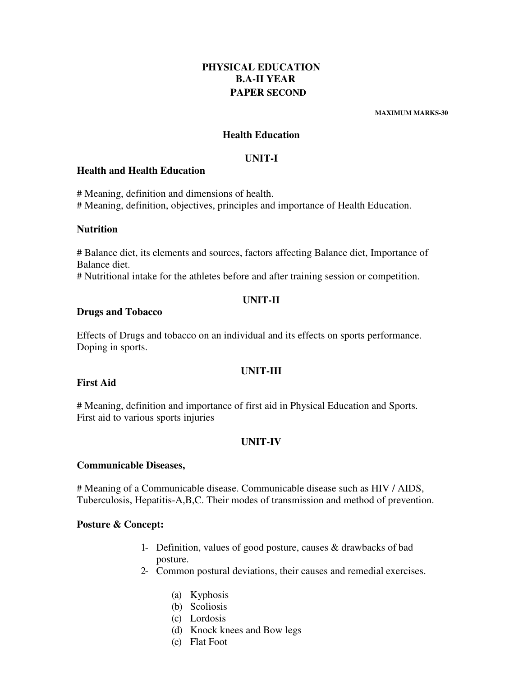## **PHYSICAL EDUCATION B.A-II YEAR PAPER SECOND**

 **MAXIMUM MARKS-30** 

### **Health Education**

### **UNIT-I**

#### **Health and Health Education**

# Meaning, definition and dimensions of health. # Meaning, definition, objectives, principles and importance of Health Education.

#### **Nutrition**

# Balance diet, its elements and sources, factors affecting Balance diet, Importance of Balance diet.

# Nutritional intake for the athletes before and after training session or competition.

#### **UNIT-II**

#### **Drugs and Tobacco**

Effects of Drugs and tobacco on an individual and its effects on sports performance. Doping in sports.

#### **UNIT-III**

### **First Aid**

# Meaning, definition and importance of first aid in Physical Education and Sports. First aid to various sports injuries

## **UNIT-IV**

#### **Communicable Diseases,**

# Meaning of a Communicable disease. Communicable disease such as HIV / AIDS, Tuberculosis, Hepatitis-A,B,C. Their modes of transmission and method of prevention.

#### **Posture & Concept:**

- 1- Definition, values of good posture, causes & drawbacks of bad posture.
- 2- Common postural deviations, their causes and remedial exercises.
	- (a) Kyphosis
	- (b) Scoliosis
	- (c) Lordosis
	- (d) Knock knees and Bow legs
	- (e) Flat Foot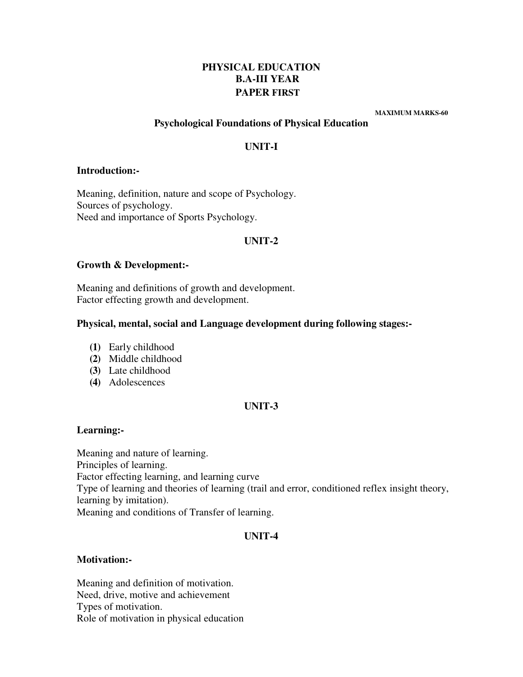## **PHYSICAL EDUCATION B.A-III YEAR PAPER FIRST**

 **MAXIMUM MARKS-60** 

### **Psychological Foundations of Physical Education**

## **UNIT-I**

#### **Introduction:-**

Meaning, definition, nature and scope of Psychology. Sources of psychology. Need and importance of Sports Psychology.

## **UNIT-2**

#### **Growth & Development:-**

Meaning and definitions of growth and development. Factor effecting growth and development.

### **Physical, mental, social and Language development during following stages:-**

- **(1)** Early childhood
- **(2)** Middle childhood
- **(3)** Late childhood
- **(4)** Adolescences

## **UNIT-3**

## **Learning:-**

Meaning and nature of learning. Principles of learning. Factor effecting learning, and learning curve Type of learning and theories of learning (trail and error, conditioned reflex insight theory, learning by imitation). Meaning and conditions of Transfer of learning.

## **UNIT-4**

#### **Motivation:-**

Meaning and definition of motivation. Need, drive, motive and achievement Types of motivation. Role of motivation in physical education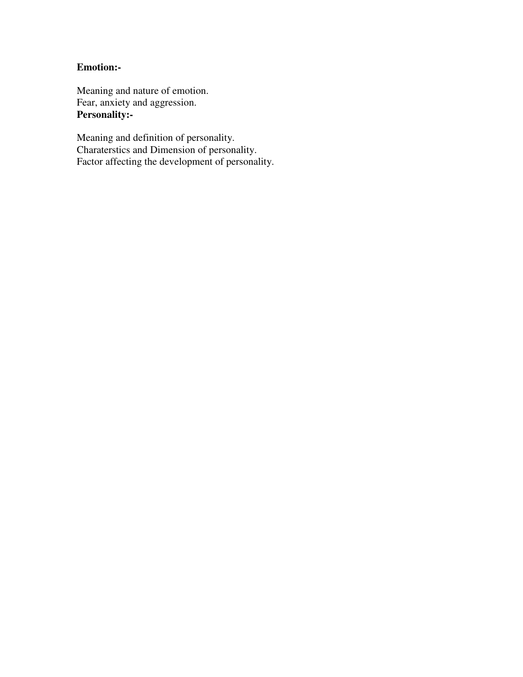## **Emotion:-**

Meaning and nature of emotion. Fear, anxiety and aggression. **Personality:-** 

Meaning and definition of personality. Charaterstics and Dimension of personality. Factor affecting the development of personality.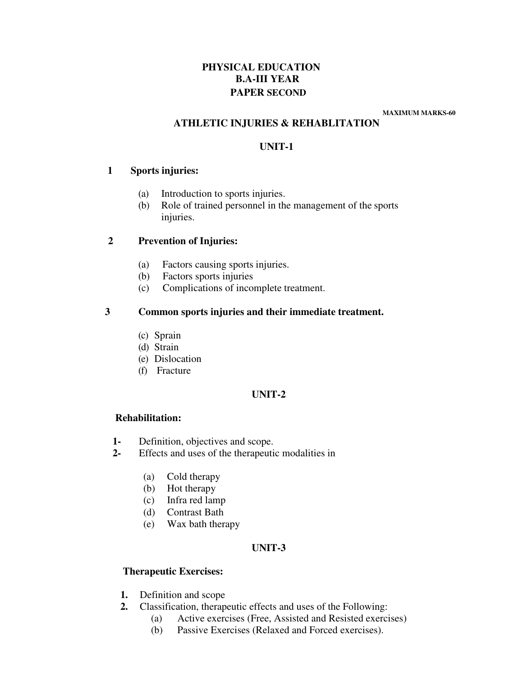## **PHYSICAL EDUCATION B.A-III YEAR PAPER SECOND**

 **MAXIMUM MARKS-60** 

## **ATHLETIC INJURIES & REHABLITATION**

## **UNIT-1**

## **1 Sports injuries:**

- (a) Introduction to sports injuries.
- (b) Role of trained personnel in the management of the sports injuries.

## **2 Prevention of Injuries:**

- (a) Factors causing sports injuries.
- (b) Factors sports injuries
- (c) Complications of incomplete treatment.

## **3 Common sports injuries and their immediate treatment.**

- (c) Sprain
- (d) Strain
- (e) Dislocation
- (f) Fracture

## **UNIT-2**

## **Rehabilitation:**

- **1-** Definition, objectives and scope.
- **2-** Effects and uses of the therapeutic modalities in
	- (a) Cold therapy
	- (b) Hot therapy
	- (c) Infra red lamp
	- (d) Contrast Bath
	- (e) Wax bath therapy

## **UNIT-3**

## **Therapeutic Exercises:**

- **1.** Definition and scope
- **2.** Classification, therapeutic effects and uses of the Following:
	- (a) Active exercises (Free, Assisted and Resisted exercises)
	- (b) Passive Exercises (Relaxed and Forced exercises).